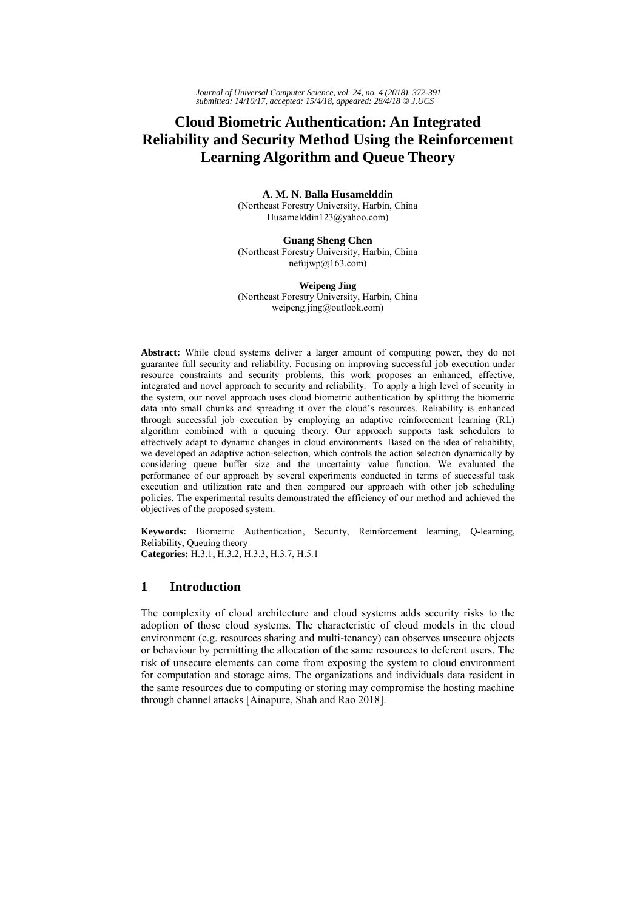# **Cloud Biometric Authentication: An Integrated Reliability and Security Method Using the Reinforcement Learning Algorithm and Queue Theory**

**A. M. N. Balla Husamelddin**  (Northeast Forestry University, Harbin, China Husamelddin123@yahoo.com)

**Guang Sheng Chen** (Northeast Forestry University, Harbin, China  $nefiijwp@163.com$ 

**Weipeng Jing** (Northeast Forestry University, Harbin, China weipeng.jing@outlook.com)

**Abstract:** While cloud systems deliver a larger amount of computing power, they do not guarantee full security and reliability. Focusing on improving successful job execution under resource constraints and security problems, this work proposes an enhanced, effective, integrated and novel approach to security and reliability. To apply a high level of security in the system, our novel approach uses cloud biometric authentication by splitting the biometric data into small chunks and spreading it over the cloud's resources. Reliability is enhanced through successful job execution by employing an adaptive reinforcement learning (RL) algorithm combined with a queuing theory. Our approach supports task schedulers to effectively adapt to dynamic changes in cloud environments. Based on the idea of reliability, we developed an adaptive action-selection, which controls the action selection dynamically by considering queue buffer size and the uncertainty value function. We evaluated the performance of our approach by several experiments conducted in terms of successful task execution and utilization rate and then compared our approach with other job scheduling policies. The experimental results demonstrated the efficiency of our method and achieved the objectives of the proposed system.

**Keywords:** Biometric Authentication, Security, Reinforcement learning, Q-learning, Reliability, Queuing theory **Categories:** H.3.1, H.3.2, H.3.3, H.3.7, H.5.1

# **1 Introduction**

The complexity of cloud architecture and cloud systems adds security risks to the adoption of those cloud systems. The characteristic of cloud models in the cloud environment (e.g. resources sharing and multi-tenancy) can observes unsecure objects or behaviour by permitting the allocation of the same resources to deferent users. The risk of unsecure elements can come from exposing the system to cloud environment for computation and storage aims. The organizations and individuals data resident in the same resources due to computing or storing may compromise the hosting machine through channel attacks [Ainapure, Shah and Rao 2018].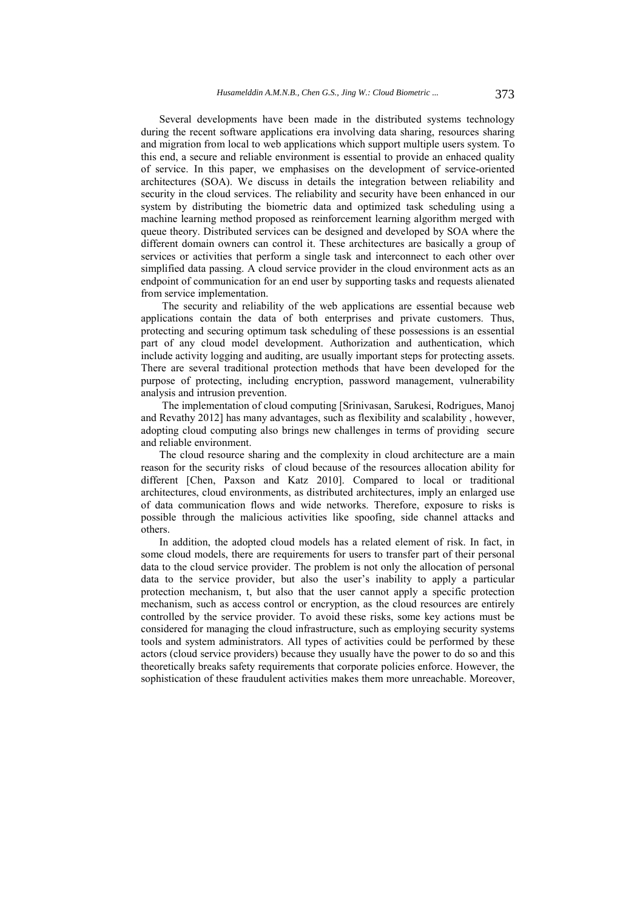Several developments have been made in the distributed systems technology during the recent software applications era involving data sharing, resources sharing and migration from local to web applications which support multiple users system. To this end, a secure and reliable environment is essential to provide an enhaced quality of service. In this paper, we emphasises on the development of service-oriented architectures (SOA). We discuss in details the integration between reliability and security in the cloud services. The reliability and security have been enhanced in our system by distributing the biometric data and optimized task scheduling using a machine learning method proposed as reinforcement learning algorithm merged with queue theory. Distributed services can be designed and developed by SOA where the different domain owners can control it. These architectures are basically a group of services or activities that perform a single task and interconnect to each other over simplified data passing. A cloud service provider in the cloud environment acts as an endpoint of communication for an end user by supporting tasks and requests alienated from service implementation.

 The security and reliability of the web applications are essential because web applications contain the data of both enterprises and private customers. Thus, protecting and securing optimum task scheduling of these possessions is an essential part of any cloud model development. Authorization and authentication, which include activity logging and auditing, are usually important steps for protecting assets. There are several traditional protection methods that have been developed for the purpose of protecting, including encryption, password management, vulnerability analysis and intrusion prevention.

 The implementation of cloud computing [Srinivasan, Sarukesi, Rodrigues, Manoj and Revathy 2012] has many advantages, such as flexibility and scalability , however, adopting cloud computing also brings new challenges in terms of providing secure and reliable environment.

The cloud resource sharing and the complexity in cloud architecture are a main reason for the security risks of cloud because of the resources allocation ability for different [Chen, Paxson and Katz 2010]. Compared to local or traditional architectures, cloud environments, as distributed architectures, imply an enlarged use of data communication flows and wide networks. Therefore, exposure to risks is possible through the malicious activities like spoofing, side channel attacks and others.

In addition, the adopted cloud models has a related element of risk. In fact, in some cloud models, there are requirements for users to transfer part of their personal data to the cloud service provider. The problem is not only the allocation of personal data to the service provider, but also the user's inability to apply a particular protection mechanism, t, but also that the user cannot apply a specific protection mechanism, such as access control or encryption, as the cloud resources are entirely controlled by the service provider. To avoid these risks, some key actions must be considered for managing the cloud infrastructure, such as employing security systems tools and system administrators. All types of activities could be performed by these actors (cloud service providers) because they usually have the power to do so and this theoretically breaks safety requirements that corporate policies enforce. However, the sophistication of these fraudulent activities makes them more unreachable. Moreover,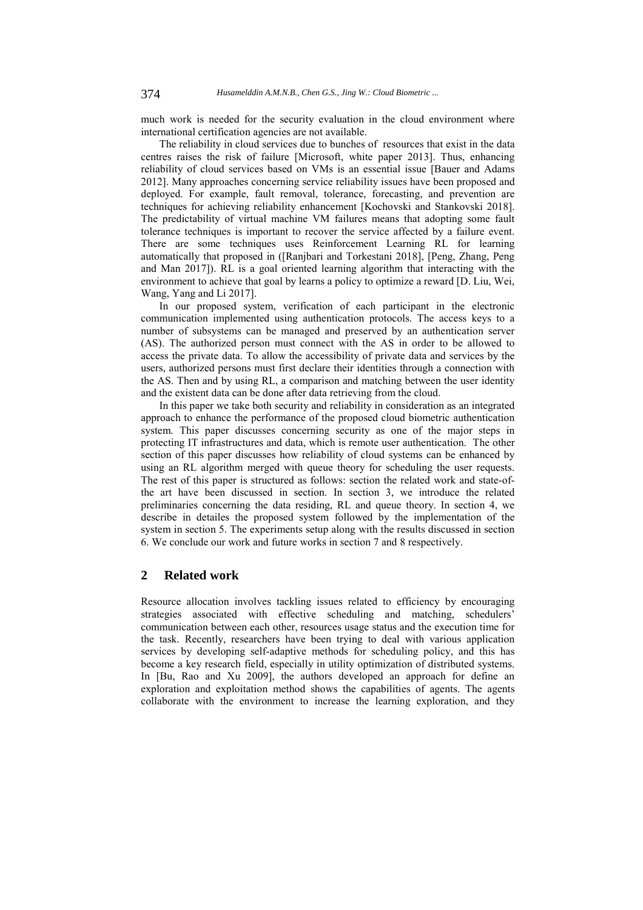much work is needed for the security evaluation in the cloud environment where international certification agencies are not available.

The reliability in cloud services due to bunches of resources that exist in the data centres raises the risk of failure [Microsoft, white paper 2013]. Thus, enhancing reliability of cloud services based on VMs is an essential issue [Bauer and Adams 2012]. Many approaches concerning service reliability issues have been proposed and deployed. For example, fault removal, tolerance, forecasting, and prevention are techniques for achieving reliability enhancement [Kochovski and Stankovski 2018]. The predictability of virtual machine VM failures means that adopting some fault tolerance techniques is important to recover the service affected by a failure event. There are some techniques uses Reinforcement Learning RL for learning automatically that proposed in ([Ranjbari and Torkestani 2018], [Peng, Zhang, Peng and Man 2017]). RL is a goal oriented learning algorithm that interacting with the environment to achieve that goal by learns a policy to optimize a reward [D. Liu, Wei, Wang, Yang and Li 2017].

In our proposed system, verification of each participant in the electronic communication implemented using authentication protocols. The access keys to a number of subsystems can be managed and preserved by an authentication server (AS). The authorized person must connect with the AS in order to be allowed to access the private data. To allow the accessibility of private data and services by the users, authorized persons must first declare their identities through a connection with the AS. Then and by using RL, a comparison and matching between the user identity and the existent data can be done after data retrieving from the cloud.

In this paper we take both security and reliability in consideration as an integrated approach to enhance the performance of the proposed cloud biometric authentication system. This paper discusses concerning security as one of the major steps in protecting IT infrastructures and data, which is remote user authentication. The other section of this paper discusses how reliability of cloud systems can be enhanced by using an RL algorithm merged with queue theory for scheduling the user requests. The rest of this paper is structured as follows: section the related work and state-ofthe art have been discussed in section. In section 3, we introduce the related preliminaries concerning the data residing, RL and queue theory. In section 4, we describe in detailes the proposed system followed by the implementation of the system in section 5. The experiments setup along with the results discussed in section 6. We conclude our work and future works in section 7 and 8 respectively.

# **2 Related work**

Resource allocation involves tackling issues related to efficiency by encouraging strategies associated with effective scheduling and matching, schedulers' communication between each other, resources usage status and the execution time for the task. Recently, researchers have been trying to deal with various application services by developing self-adaptive methods for scheduling policy, and this has become a key research field, especially in utility optimization of distributed systems. In [Bu, Rao and Xu 2009], the authors developed an approach for define an exploration and exploitation method shows the capabilities of agents. The agents collaborate with the environment to increase the learning exploration, and they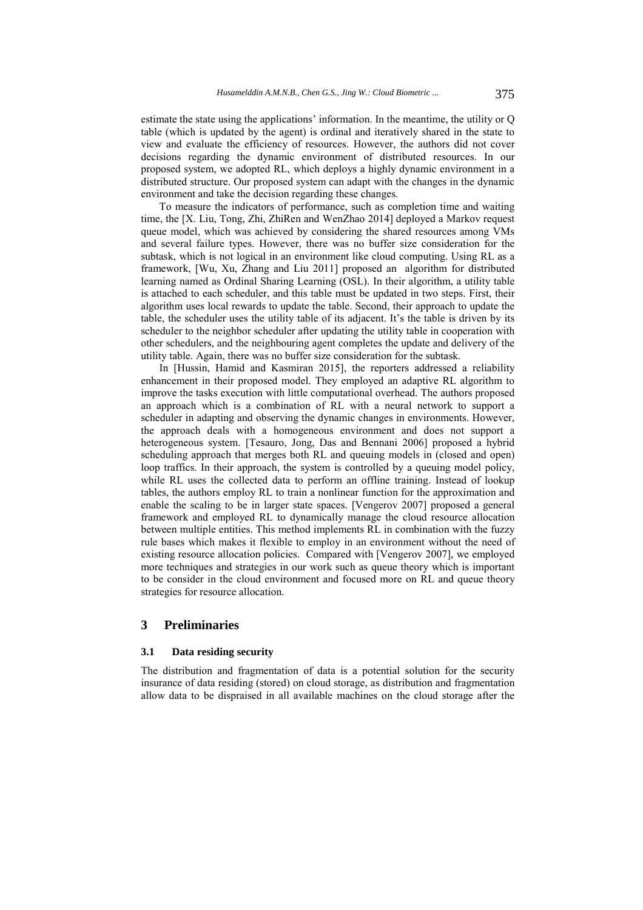estimate the state using the applications' information. In the meantime, the utility or Q table (which is updated by the agent) is ordinal and iteratively shared in the state to view and evaluate the efficiency of resources. However, the authors did not cover decisions regarding the dynamic environment of distributed resources. In our proposed system, we adopted RL, which deploys a highly dynamic environment in a distributed structure. Our proposed system can adapt with the changes in the dynamic environment and take the decision regarding these changes.

To measure the indicators of performance, such as completion time and waiting time, the [X. Liu, Tong, Zhi, ZhiRen and WenZhao 2014] deployed a Markov request queue model, which was achieved by considering the shared resources among VMs and several failure types. However, there was no buffer size consideration for the subtask, which is not logical in an environment like cloud computing. Using RL as a framework, [Wu, Xu, Zhang and Liu 2011] proposed an algorithm for distributed learning named as Ordinal Sharing Learning (OSL). In their algorithm, a utility table is attached to each scheduler, and this table must be updated in two steps. First, their algorithm uses local rewards to update the table. Second, their approach to update the table, the scheduler uses the utility table of its adjacent. It's the table is driven by its scheduler to the neighbor scheduler after updating the utility table in cooperation with other schedulers, and the neighbouring agent completes the update and delivery of the utility table. Again, there was no buffer size consideration for the subtask.

In [Hussin, Hamid and Kasmiran 2015], the reporters addressed a reliability enhancement in their proposed model. They employed an adaptive RL algorithm to improve the tasks execution with little computational overhead. The authors proposed an approach which is a combination of RL with a neural network to support a scheduler in adapting and observing the dynamic changes in environments. However, the approach deals with a homogeneous environment and does not support a heterogeneous system. [Tesauro, Jong, Das and Bennani 2006] proposed a hybrid scheduling approach that merges both RL and queuing models in (closed and open) loop traffics. In their approach, the system is controlled by a queuing model policy, while RL uses the collected data to perform an offline training. Instead of lookup tables, the authors employ RL to train a nonlinear function for the approximation and enable the scaling to be in larger state spaces. [Vengerov 2007] proposed a general framework and employed RL to dynamically manage the cloud resource allocation between multiple entities. This method implements RL in combination with the fuzzy rule bases which makes it flexible to employ in an environment without the need of existing resource allocation policies. Compared with [Vengerov 2007], we employed more techniques and strategies in our work such as queue theory which is important to be consider in the cloud environment and focused more on RL and queue theory strategies for resource allocation.

# **3 Preliminaries**

#### **3.1 Data residing security**

The distribution and fragmentation of data is a potential solution for the security insurance of data residing (stored) on cloud storage, as distribution and fragmentation allow data to be dispraised in all available machines on the cloud storage after the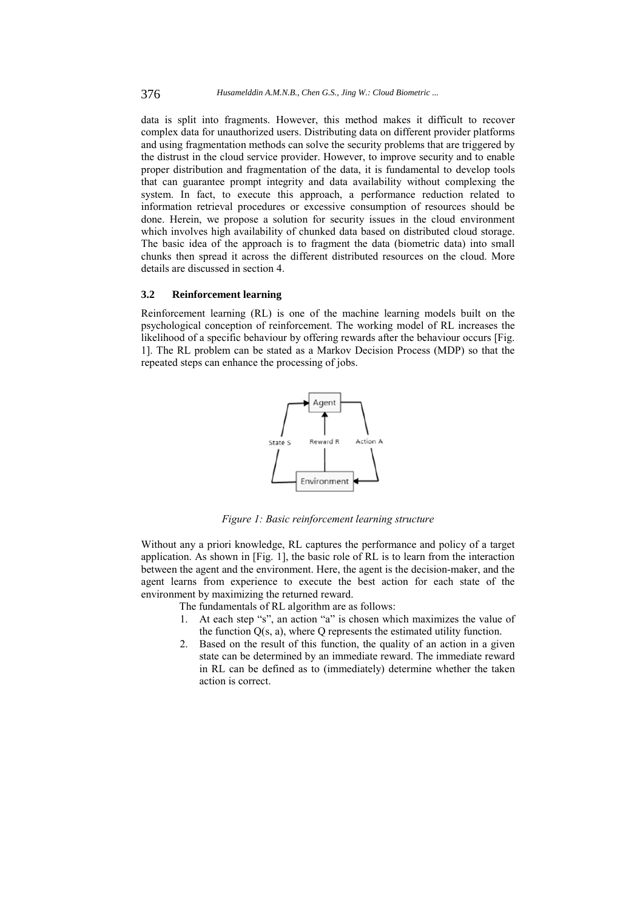data is split into fragments. However, this method makes it difficult to recover complex data for unauthorized users. Distributing data on different provider platforms and using fragmentation methods can solve the security problems that are triggered by the distrust in the cloud service provider. However, to improve security and to enable proper distribution and fragmentation of the data, it is fundamental to develop tools that can guarantee prompt integrity and data availability without complexing the system. In fact, to execute this approach, a performance reduction related to information retrieval procedures or excessive consumption of resources should be done. Herein, we propose a solution for security issues in the cloud environment which involves high availability of chunked data based on distributed cloud storage. The basic idea of the approach is to fragment the data (biometric data) into small chunks then spread it across the different distributed resources on the cloud. More details are discussed in section 4.

### **3.2 Reinforcement learning**

Reinforcement learning (RL) is one of the machine learning models built on the psychological conception of reinforcement. The working model of RL increases the likelihood of a specific behaviour by offering rewards after the behaviour occurs [Fig. 1]. The RL problem can be stated as a Markov Decision Process (MDP) so that the repeated steps can enhance the processing of jobs.



*Figure 1: Basic reinforcement learning structure* 

Without any a priori knowledge, RL captures the performance and policy of a target application. As shown in [Fig. 1], the basic role of RL is to learn from the interaction between the agent and the environment. Here, the agent is the decision-maker, and the agent learns from experience to execute the best action for each state of the environment by maximizing the returned reward.

The fundamentals of RL algorithm are as follows:

- 1. At each step "s", an action "a" is chosen which maximizes the value of the function  $Q(s, a)$ , where Q represents the estimated utility function.
- 2. Based on the result of this function, the quality of an action in a given state can be determined by an immediate reward. The immediate reward in RL can be defined as to (immediately) determine whether the taken action is correct.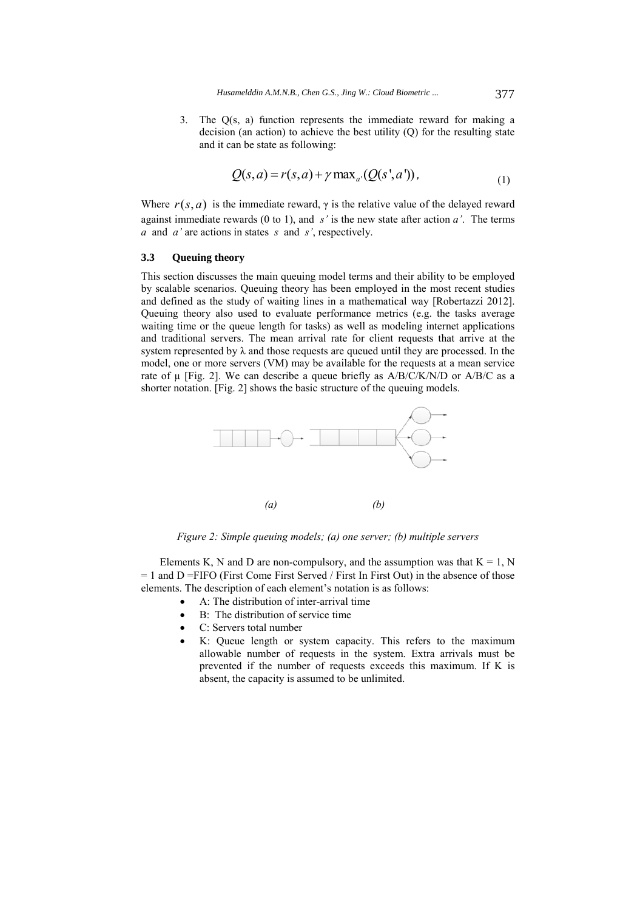3. The Q(s, a) function represents the immediate reward for making a decision (an action) to achieve the best utility (Q) for the resulting state and it can be state as following:

$$
Q(s, a) = r(s, a) + \gamma \max_{a'} (Q(s', a')), \qquad (1)
$$

Where  $r(s, a)$  is the immediate reward,  $\gamma$  is the relative value of the delayed reward against immediate rewards (0 to 1), and *s'* is the new state after action *a'*. The terms *a* and *a'* are actions in states *s* and *s'*, respectively.

#### **3.3 Queuing theory**

This section discusses the main queuing model terms and their ability to be employed by scalable scenarios. Queuing theory has been employed in the most recent studies and defined as the study of waiting lines in a mathematical way [Robertazzi 2012]. Queuing theory also used to evaluate performance metrics (e.g. the tasks average waiting time or the queue length for tasks) as well as modeling internet applications and traditional servers. The mean arrival rate for client requests that arrive at the system represented by  $\lambda$  and those requests are queued until they are processed. In the model, one or more servers (VM) may be available for the requests at a mean service rate of  $\mu$  [Fig. 2]. We can describe a queue briefly as A/B/C/K/N/D or A/B/C as a shorter notation. [Fig. 2] shows the basic structure of the queuing models.



*Figure 2: Simple queuing models; (a) one server; (b) multiple servers* 

Elements K, N and D are non-compulsory, and the assumption was that  $K = 1$ , N  $= 1$  and D =FIFO (First Come First Served / First In First Out) in the absence of those elements. The description of each element's notation is as follows:

- A: The distribution of inter-arrival time
- B: The distribution of service time
- C: Servers total number
- K: Queue length or system capacity. This refers to the maximum allowable number of requests in the system. Extra arrivals must be prevented if the number of requests exceeds this maximum. If K is absent, the capacity is assumed to be unlimited.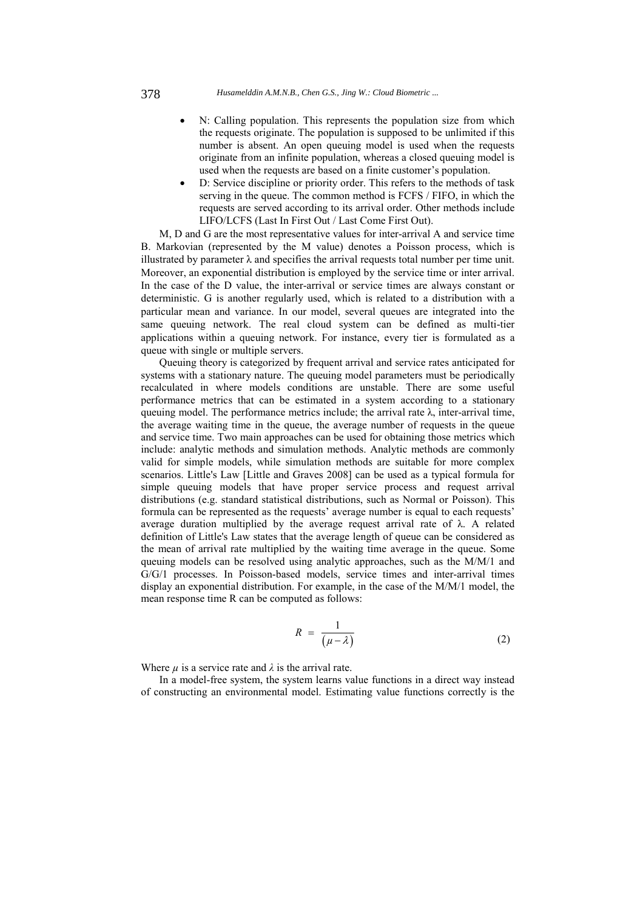- N: Calling population. This represents the population size from which the requests originate. The population is supposed to be unlimited if this number is absent. An open queuing model is used when the requests originate from an infinite population, whereas a closed queuing model is used when the requests are based on a finite customer's population.
- D: Service discipline or priority order. This refers to the methods of task serving in the queue. The common method is FCFS / FIFO, in which the requests are served according to its arrival order. Other methods include LIFO/LCFS (Last In First Out / Last Come First Out).

M, D and G are the most representative values for inter-arrival A and service time B. Markovian (represented by the M value) denotes a Poisson process, which is illustrated by parameter  $\lambda$  and specifies the arrival requests total number per time unit. Moreover, an exponential distribution is employed by the service time or inter arrival. In the case of the D value, the inter-arrival or service times are always constant or deterministic. G is another regularly used, which is related to a distribution with a particular mean and variance. In our model, several queues are integrated into the same queuing network. The real cloud system can be defined as multi-tier applications within a queuing network. For instance, every tier is formulated as a queue with single or multiple servers.

Queuing theory is categorized by frequent arrival and service rates anticipated for systems with a stationary nature. The queuing model parameters must be periodically recalculated in where models conditions are unstable. There are some useful performance metrics that can be estimated in a system according to a stationary queuing model. The performance metrics include; the arrival rate  $\lambda$ , inter-arrival time, the average waiting time in the queue, the average number of requests in the queue and service time. Two main approaches can be used for obtaining those metrics which include: analytic methods and simulation methods. Analytic methods are commonly valid for simple models, while simulation methods are suitable for more complex scenarios. Little's Law [Little and Graves 2008] can be used as a typical formula for simple queuing models that have proper service process and request arrival distributions (e.g. standard statistical distributions, such as Normal or Poisson). This formula can be represented as the requests' average number is equal to each requests' average duration multiplied by the average request arrival rate of λ. A related definition of Little's Law states that the average length of queue can be considered as the mean of arrival rate multiplied by the waiting time average in the queue. Some queuing models can be resolved using analytic approaches, such as the M/M/1 and G/G/1 processes. In Poisson-based models, service times and inter-arrival times display an exponential distribution. For example, in the case of the M/M/1 model, the mean response time R can be computed as follows:

$$
R = \frac{1}{(\mu - \lambda)}
$$
 (2)

Where  $\mu$  is a service rate and  $\lambda$  is the arrival rate.

In a model-free system, the system learns value functions in a direct way instead of constructing an environmental model. Estimating value functions correctly is the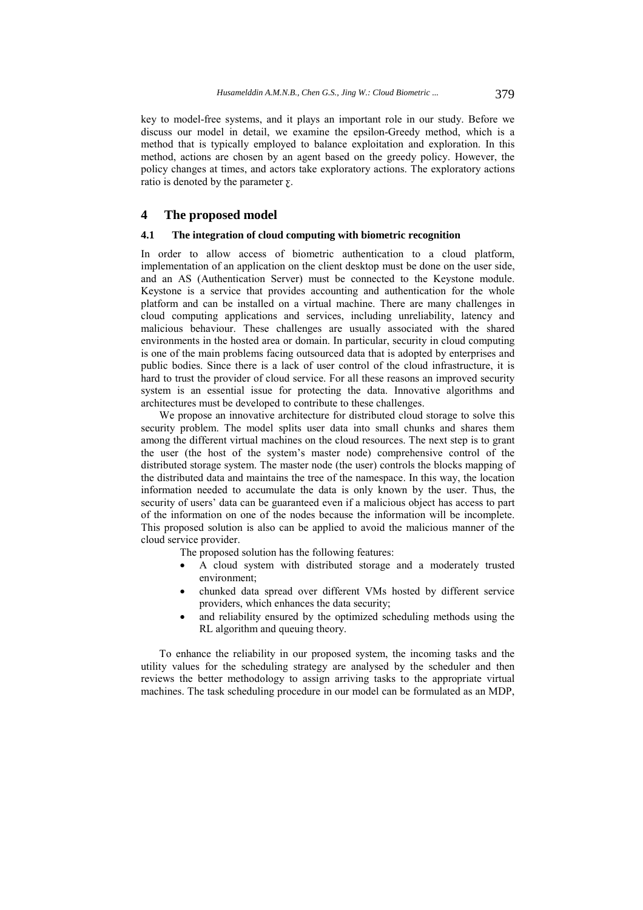key to model-free systems, and it plays an important role in our study. Before we discuss our model in detail, we examine the epsilon-Greedy method, which is a method that is typically employed to balance exploitation and exploration. In this method, actions are chosen by an agent based on the greedy policy. However, the policy changes at times, and actors take exploratory actions. The exploratory actions ratio is denoted by the parameter  $\Sigma$ .

### **4 The proposed model**

### **4.1 The integration of cloud computing with biometric recognition**

In order to allow access of biometric authentication to a cloud platform, implementation of an application on the client desktop must be done on the user side, and an AS (Authentication Server) must be connected to the Keystone module. Keystone is a service that provides accounting and authentication for the whole platform and can be installed on a virtual machine. There are many challenges in cloud computing applications and services, including unreliability, latency and malicious behaviour. These challenges are usually associated with the shared environments in the hosted area or domain. In particular, security in cloud computing is one of the main problems facing outsourced data that is adopted by enterprises and public bodies. Since there is a lack of user control of the cloud infrastructure, it is hard to trust the provider of cloud service. For all these reasons an improved security system is an essential issue for protecting the data. Innovative algorithms and architectures must be developed to contribute to these challenges.

We propose an innovative architecture for distributed cloud storage to solve this security problem. The model splits user data into small chunks and shares them among the different virtual machines on the cloud resources. The next step is to grant the user (the host of the system's master node) comprehensive control of the distributed storage system. The master node (the user) controls the blocks mapping of the distributed data and maintains the tree of the namespace. In this way, the location information needed to accumulate the data is only known by the user. Thus, the security of users' data can be guaranteed even if a malicious object has access to part of the information on one of the nodes because the information will be incomplete. This proposed solution is also can be applied to avoid the malicious manner of the cloud service provider.

The proposed solution has the following features:

- A cloud system with distributed storage and a moderately trusted environment;
- chunked data spread over different VMs hosted by different service providers, which enhances the data security;
- and reliability ensured by the optimized scheduling methods using the RL algorithm and queuing theory.

To enhance the reliability in our proposed system, the incoming tasks and the utility values for the scheduling strategy are analysed by the scheduler and then reviews the better methodology to assign arriving tasks to the appropriate virtual machines. The task scheduling procedure in our model can be formulated as an MDP,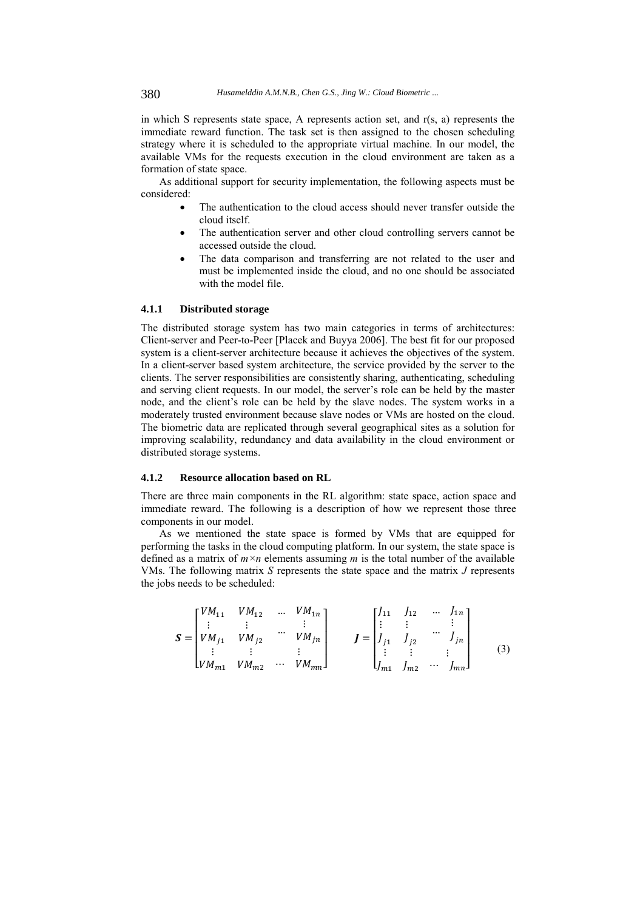in which S represents state space, A represents action set, and r(s, a) represents the immediate reward function. The task set is then assigned to the chosen scheduling strategy where it is scheduled to the appropriate virtual machine. In our model, the available VMs for the requests execution in the cloud environment are taken as a formation of state space.

As additional support for security implementation, the following aspects must be considered:

- The authentication to the cloud access should never transfer outside the cloud itself.
- The authentication server and other cloud controlling servers cannot be accessed outside the cloud.
- The data comparison and transferring are not related to the user and must be implemented inside the cloud, and no one should be associated with the model file.

#### **4.1.1 Distributed storage**

The distributed storage system has two main categories in terms of architectures: Client-server and Peer-to-Peer [Placek and Buyya 2006]. The best fit for our proposed system is a client-server architecture because it achieves the objectives of the system. In a client-server based system architecture, the service provided by the server to the clients. The server responsibilities are consistently sharing, authenticating, scheduling and serving client requests. In our model, the server's role can be held by the master node, and the client's role can be held by the slave nodes. The system works in a moderately trusted environment because slave nodes or VMs are hosted on the cloud. The biometric data are replicated through several geographical sites as a solution for improving scalability, redundancy and data availability in the cloud environment or distributed storage systems.

### **4.1.2 Resource allocation based on RL**

There are three main components in the RL algorithm: state space, action space and immediate reward. The following is a description of how we represent those three components in our model.

As we mentioned the state space is formed by VMs that are equipped for performing the tasks in the cloud computing platform. In our system, the state space is defined as a matrix of  $m \times n$  elements assuming *m* is the total number of the available VMs. The following matrix *S* represents the state space and the matrix *J* represents the jobs needs to be scheduled:

$$
\mathbf{S} = \begin{bmatrix} VM_{11} & VM_{12} & \cdots & VM_{1n} \\ \vdots & \vdots & & \vdots \\ VM_{j1} & VM_{j2} & \cdots & VM_{jn} \\ \vdots & \vdots & & \vdots \\ UM_{m1} & VM_{m2} & \cdots & VM_{mn} \end{bmatrix} \qquad \mathbf{J} = \begin{bmatrix} J_{11} & J_{12} & \cdots & J_{1n} \\ \vdots & \vdots & & \vdots \\ J_{j1} & J_{j2} & \cdots & J_{jn} \\ \vdots & \vdots & & \vdots \\ J_{m1} & J_{m2} & \cdots & J_{mn} \end{bmatrix}
$$
(3)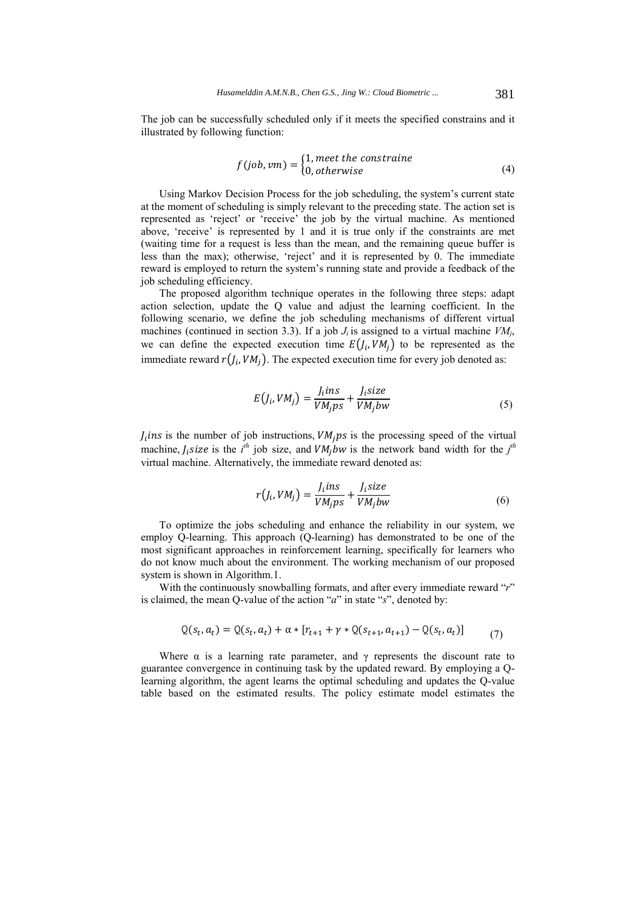The job can be successfully scheduled only if it meets the specified constrains and it illustrated by following function:

$$
f(job,vm) = \begin{cases} 1, meet\ the\ constrained\\ 0, otherwise \end{cases}
$$
 (4)

Using Markov Decision Process for the job scheduling, the system's current state at the moment of scheduling is simply relevant to the preceding state. The action set is represented as 'reject' or 'receive' the job by the virtual machine. As mentioned above, 'receive' is represented by 1 and it is true only if the constraints are met (waiting time for a request is less than the mean, and the remaining queue buffer is less than the max); otherwise, 'reject' and it is represented by 0. The immediate reward is employed to return the system's running state and provide a feedback of the job scheduling efficiency.

The proposed algorithm technique operates in the following three steps: adapt action selection, update the Q value and adjust the learning coefficient. In the following scenario, we define the job scheduling mechanisms of different virtual machines (continued in section 3.3). If a job  $J_i$  is assigned to a virtual machine  $VM_i$ , we can define the expected execution time  $E(J_i, VM_i)$  to be represented as the immediate reward  $r(I_i, VM_i)$ . The expected execution time for every job denoted as:

$$
E(J_i, VM_j) = \frac{J_i ins}{VM_j ps} + \frac{J_i size}{VM_j bw}
$$
\n<sup>(5)</sup>

 $J_i$ ins is the number of job instructions,  $VM_i ps$  is the processing speed of the virtual machine,  $f_i$  size is the  $i^{th}$  job size, and  $VM_jbw$  is the network band width for the  $j^{th}$ virtual machine. Alternatively, the immediate reward denoted as:

$$
r(J_i, VM_j) = \frac{J_iins}{VM_jps} + \frac{J_isize}{VM_jbw}
$$
(6)

To optimize the jobs scheduling and enhance the reliability in our system, we employ Q-learning. This approach (Q-learning) has demonstrated to be one of the most significant approaches in reinforcement learning, specifically for learners who do not know much about the environment. The working mechanism of our proposed system is shown in Algorithm.1.

With the continuously snowballing formats, and after every immediate reward "*r*" is claimed, the mean Q-value of the action "*a*" in state "*s*", denoted by:

$$
Q(s_t, a_t) = Q(s_t, a_t) + \alpha * [r_{t+1} + \gamma * Q(s_{t+1}, a_{t+1}) - Q(s_t, a_t)]
$$
(7)

Where  $\alpha$  is a learning rate parameter, and  $\gamma$  represents the discount rate to guarantee convergence in continuing task by the updated reward. By employing a Qlearning algorithm, the agent learns the optimal scheduling and updates the Q-value table based on the estimated results. The policy estimate model estimates the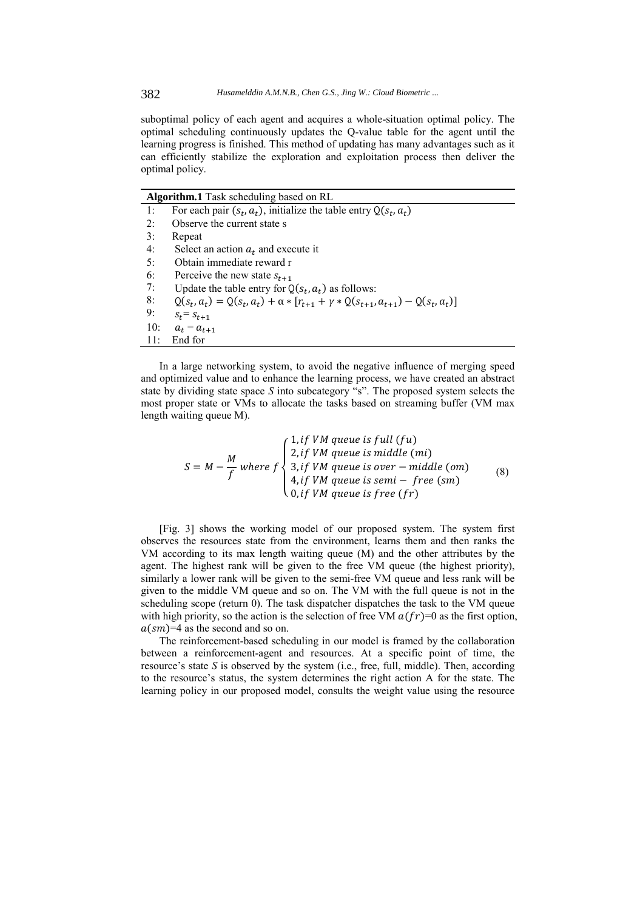suboptimal policy of each agent and acquires a whole-situation optimal policy. The optimal scheduling continuously updates the Q-value table for the agent until the learning progress is finished. This method of updating has many advantages such as it can efficiently stabilize the exploration and exploitation process then deliver the optimal policy.

| <b>Algorithm.1</b> Task scheduling based on RL |                                                                                               |  |
|------------------------------------------------|-----------------------------------------------------------------------------------------------|--|
| $\exists$ :                                    | For each pair $(s_t, a_t)$ , initialize the table entry $Q(s_t, a_t)$                         |  |
| 2:                                             | Observe the current state s                                                                   |  |
| 3:                                             | Repeat                                                                                        |  |
| 4:                                             | Select an action $a_t$ and execute it                                                         |  |
| 5:                                             | Obtain immediate reward r                                                                     |  |
| 6:                                             | Perceive the new state $s_{t+1}$                                                              |  |
| 7:                                             | Update the table entry for $Q(s_t, a_t)$ as follows:                                          |  |
| 8:                                             | $Q(s_t, a_t) = Q(s_t, a_t) + \alpha * [r_{t+1} + \gamma * Q(s_{t+1}, a_{t+1}) - Q(s_t, a_t)]$ |  |
| 9:                                             | $S_t = S_{t+1}$                                                                               |  |
| 10:                                            | $a_t = a_{t+1}$                                                                               |  |
| 11:                                            | End for                                                                                       |  |

In a large networking system, to avoid the negative influence of merging speed and optimized value and to enhance the learning process, we have created an abstract state by dividing state space *S* into subcategory "s". The proposed system selects the most proper state or VMs to allocate the tasks based on streaming buffer (VM max length waiting queue M).

$$
S = M - \frac{M}{f} \text{ where } f \begin{cases} 1, if VM queue is full (fu) \\ 2, if VM queue is middle (mi) \\ 3, if VM queue is over - middle (om) \\ 4, if VM queue is semi - free (sm) \\ 0, if VM queue is free (fr) \end{cases} \tag{8}
$$

[Fig. 3] shows the working model of our proposed system. The system first observes the resources state from the environment, learns them and then ranks the VM according to its max length waiting queue (M) and the other attributes by the agent. The highest rank will be given to the free VM queue (the highest priority), similarly a lower rank will be given to the semi-free VM queue and less rank will be given to the middle VM queue and so on. The VM with the full queue is not in the scheduling scope (return 0). The task dispatcher dispatches the task to the VM queue with high priority, so the action is the selection of free VM  $a(fr)=0$  as the first option,  $a(sm)=4$  as the second and so on.

The reinforcement-based scheduling in our model is framed by the collaboration between a reinforcement-agent and resources. At a specific point of time, the resource's state *S* is observed by the system (i.e., free, full, middle). Then, according to the resource's status, the system determines the right action A for the state. The learning policy in our proposed model, consults the weight value using the resource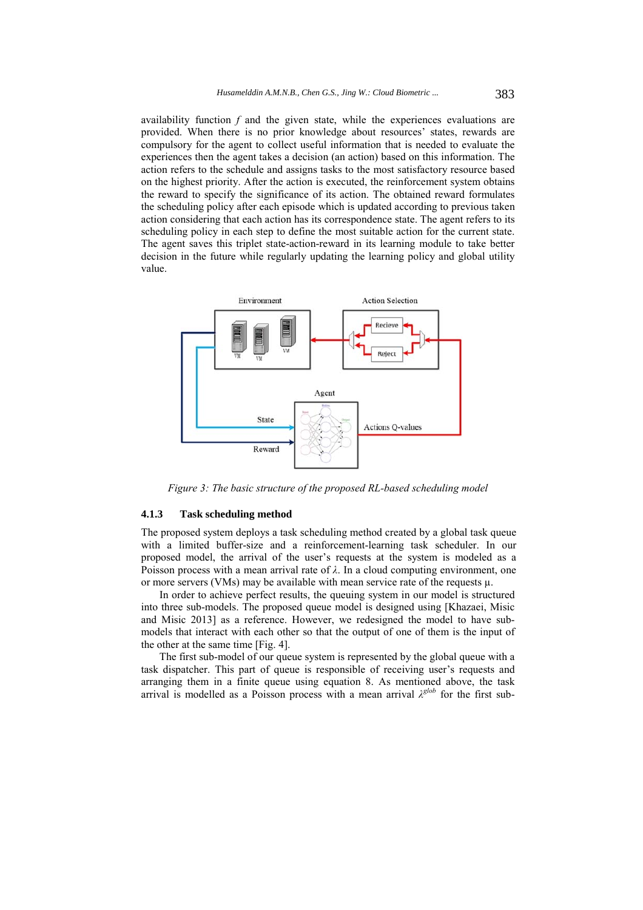availability function *f* and the given state, while the experiences evaluations are provided. When there is no prior knowledge about resources' states, rewards are compulsory for the agent to collect useful information that is needed to evaluate the experiences then the agent takes a decision (an action) based on this information. The action refers to the schedule and assigns tasks to the most satisfactory resource based on the highest priority. After the action is executed, the reinforcement system obtains the reward to specify the significance of its action. The obtained reward formulates the scheduling policy after each episode which is updated according to previous taken action considering that each action has its correspondence state. The agent refers to its scheduling policy in each step to define the most suitable action for the current state. The agent saves this triplet state-action-reward in its learning module to take better decision in the future while regularly updating the learning policy and global utility value.



*Figure 3: The basic structure of the proposed RL-based scheduling model* 

### **4.1.3 Task scheduling method**

The proposed system deploys a task scheduling method created by a global task queue with a limited buffer-size and a reinforcement-learning task scheduler. In our proposed model, the arrival of the user's requests at the system is modeled as a Poisson process with a mean arrival rate of  $\lambda$ . In a cloud computing environment, one or more servers (VMs) may be available with mean service rate of the requests  $\mu$ .

In order to achieve perfect results, the queuing system in our model is structured into three sub-models. The proposed queue model is designed using [Khazaei, Misic and Misic 2013] as a reference. However, we redesigned the model to have submodels that interact with each other so that the output of one of them is the input of the other at the same time [Fig. 4].

The first sub-model of our queue system is represented by the global queue with a task dispatcher. This part of queue is responsible of receiving user's requests and arranging them in a finite queue using equation 8. As mentioned above, the task arrival is modelled as a Poisson process with a mean arrival  $\lambda^{glob}$  for the first sub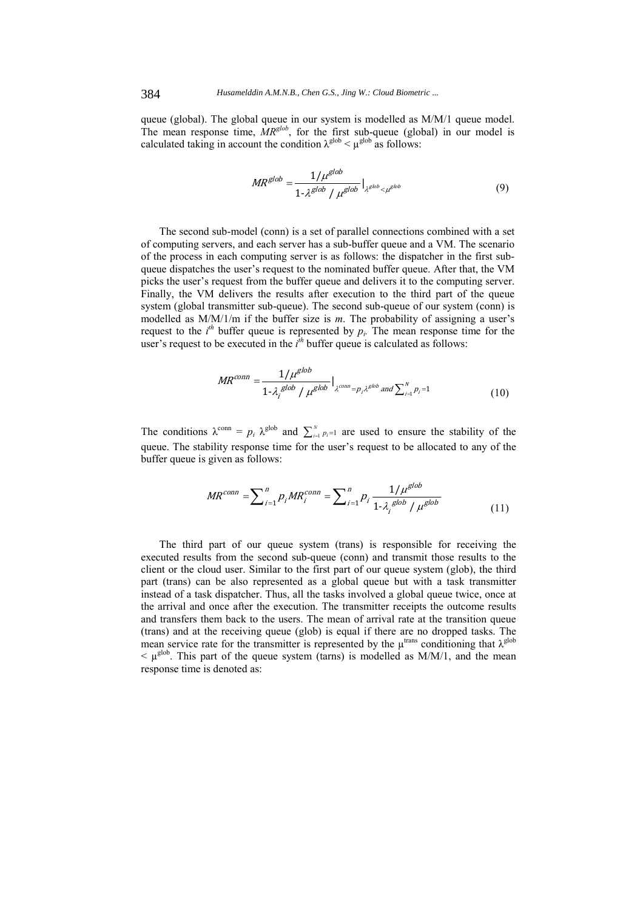queue (global). The global queue in our system is modelled as M/M/1 queue model. The mean response time, *MRglob*, for the first sub-queue (global) in our model is calculated taking in account the condition  $\lambda^{\text{glob}} < \mu^{\text{glob}}$  as follows:

$$
MR^{glob} = \frac{1/\mu^{glob}}{1 \cdot \lambda^{glob} / \mu^{glob}} \big|_{\lambda^{glob} < \mu^{glob}} \tag{9}
$$

The second sub-model (conn) is a set of parallel connections combined with a set of computing servers, and each server has a sub-buffer queue and a VM. The scenario of the process in each computing server is as follows: the dispatcher in the first subqueue dispatches the user's request to the nominated buffer queue. After that, the VM picks the user's request from the buffer queue and delivers it to the computing server. Finally, the VM delivers the results after execution to the third part of the queue system (global transmitter sub-queue). The second sub-queue of our system (conn) is modelled as M/M/1/m if the buffer size is *m*. The probability of assigning a user's request to the  $i^{th}$  buffer queue is represented by  $p_i$ . The mean response time for the user's request to be executed in the  $i<sup>th</sup>$  buffer queue is calculated as follows:

$$
MR^{conn} = \frac{1/\mu^{glob}}{1 - \lambda_j^{glob} / \mu^{glob}} \big|_{\lambda^{conn} = p_j \lambda^{glob}} \text{ and } \sum_{i=1}^{N} p_i = 1}
$$
(10)

The conditions  $\lambda^{\text{conn}} = p_i \lambda^{\text{glob}}$  and  $\sum_{i=1}^{N} p_i = 1$  are used to ensure the stability of the queue. The stability response time for the user's request to be allocated to any of the buffer queue is given as follows:

$$
MR^{conn} = \sum_{i=1}^{n} p_{i}MR_{i}^{conn} = \sum_{i=1}^{n} p_{i} \frac{1/\mu^{glob}}{1 \cdot \lambda_{i}^{glob} / \mu^{glob}}
$$
(11)

The third part of our queue system (trans) is responsible for receiving the executed results from the second sub-queue (conn) and transmit those results to the client or the cloud user. Similar to the first part of our queue system (glob), the third part (trans) can be also represented as a global queue but with a task transmitter instead of a task dispatcher. Thus, all the tasks involved a global queue twice, once at the arrival and once after the execution. The transmitter receipts the outcome results and transfers them back to the users. The mean of arrival rate at the transition queue (trans) and at the receiving queue (glob) is equal if there are no dropped tasks. The mean service rate for the transmitter is represented by the  $\mu^{\text{trans}}$  conditioning that  $\lambda^{\text{glob}}$  $\leq \mu^{\text{glob}}$ . This part of the queue system (tarns) is modelled as M/M/1, and the mean response time is denoted as: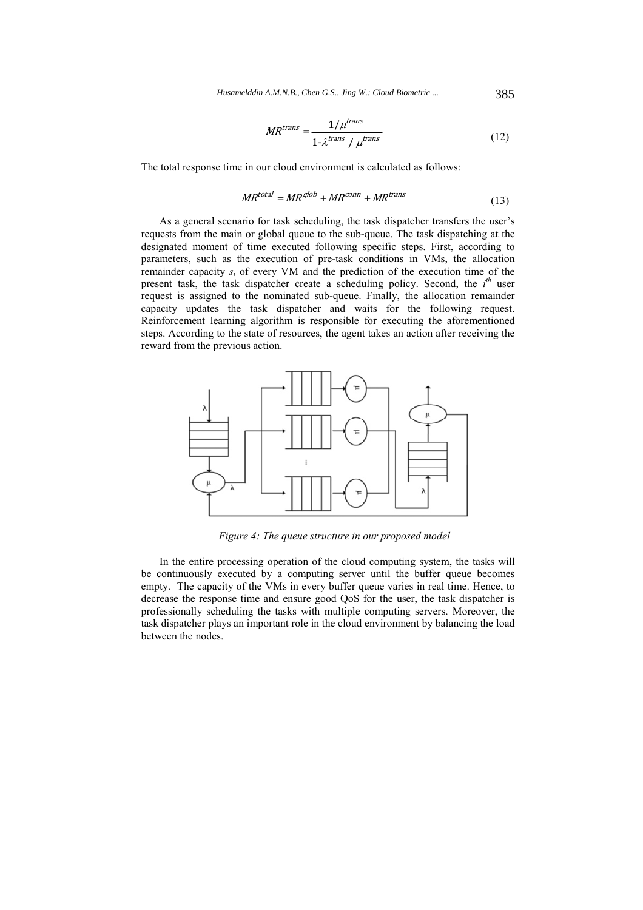*Husamelddin A.M.N.B., Chen G.S., Jing W.: Cloud Biometric ...* 385

$$
MR^{trans} = \frac{1/\mu^{trans}}{1 - \lambda^{trans} / \mu^{trans}} \tag{12}
$$

The total response time in our cloud environment is calculated as follows:

$$
MR^{total} = MR^{glob} + MR^{conn} + MR^{trans}
$$
\n<sup>(13)</sup>

As a general scenario for task scheduling, the task dispatcher transfers the user's requests from the main or global queue to the sub-queue. The task dispatching at the designated moment of time executed following specific steps. First, according to parameters, such as the execution of pre-task conditions in VMs, the allocation remainder capacity *si* of every VM and the prediction of the execution time of the present task, the task dispatcher create a scheduling policy. Second, the *i*<sup>th</sup> user request is assigned to the nominated sub-queue. Finally, the allocation remainder capacity updates the task dispatcher and waits for the following request. Reinforcement learning algorithm is responsible for executing the aforementioned steps. According to the state of resources, the agent takes an action after receiving the reward from the previous action.



*Figure 4: The queue structure in our proposed model* 

In the entire processing operation of the cloud computing system, the tasks will be continuously executed by a computing server until the buffer queue becomes empty. The capacity of the VMs in every buffer queue varies in real time. Hence, to decrease the response time and ensure good QoS for the user, the task dispatcher is professionally scheduling the tasks with multiple computing servers. Moreover, the task dispatcher plays an important role in the cloud environment by balancing the load between the nodes.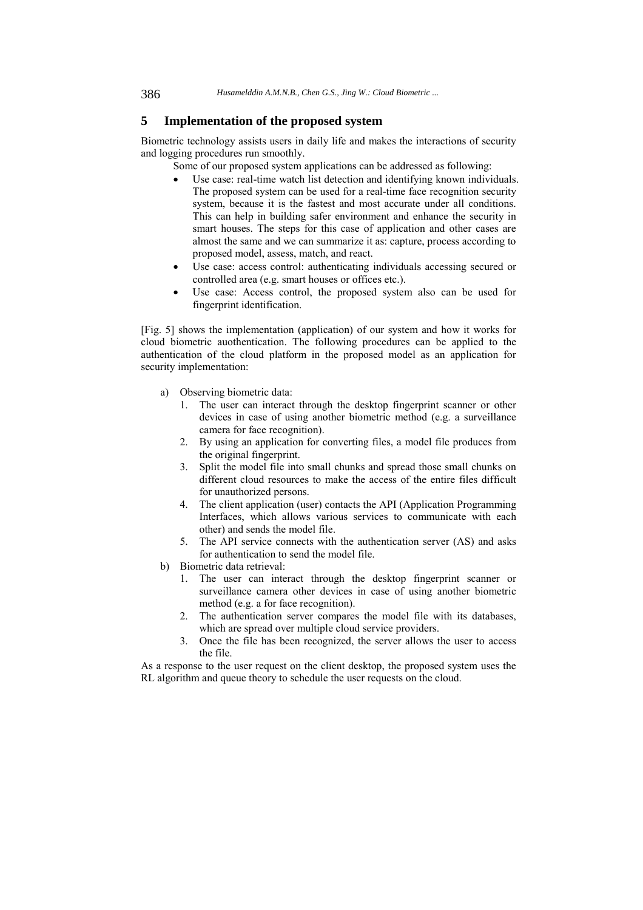# **5 Implementation of the proposed system**

Biometric technology assists users in daily life and makes the interactions of security and logging procedures run smoothly.

Some of our proposed system applications can be addressed as following:

- Use case: real-time watch list detection and identifying known individuals. The proposed system can be used for a real-time face recognition security system, because it is the fastest and most accurate under all conditions. This can help in building safer environment and enhance the security in smart houses. The steps for this case of application and other cases are almost the same and we can summarize it as: capture, process according to proposed model, assess, match, and react.
- Use case: access control: authenticating individuals accessing secured or controlled area (e.g. smart houses or offices etc.).
- Use case: Access control, the proposed system also can be used for fingerprint identification.

[Fig. 5] shows the implementation (application) of our system and how it works for cloud biometric auothentication. The following procedures can be applied to the authentication of the cloud platform in the proposed model as an application for security implementation:

- a) Observing biometric data:
	- 1. The user can interact through the desktop fingerprint scanner or other devices in case of using another biometric method (e.g. a surveillance camera for face recognition).
	- 2. By using an application for converting files, a model file produces from the original fingerprint.
	- 3. Split the model file into small chunks and spread those small chunks on different cloud resources to make the access of the entire files difficult for unauthorized persons.
	- 4. The client application (user) contacts the API (Application Programming Interfaces, which allows various services to communicate with each other) and sends the model file.
	- 5. The API service connects with the authentication server (AS) and asks for authentication to send the model file.
- b) Biometric data retrieval:
	- 1. The user can interact through the desktop fingerprint scanner or surveillance camera other devices in case of using another biometric method (e.g. a for face recognition).
	- 2. The authentication server compares the model file with its databases, which are spread over multiple cloud service providers.
	- 3. Once the file has been recognized, the server allows the user to access the file.

As a response to the user request on the client desktop, the proposed system uses the RL algorithm and queue theory to schedule the user requests on the cloud.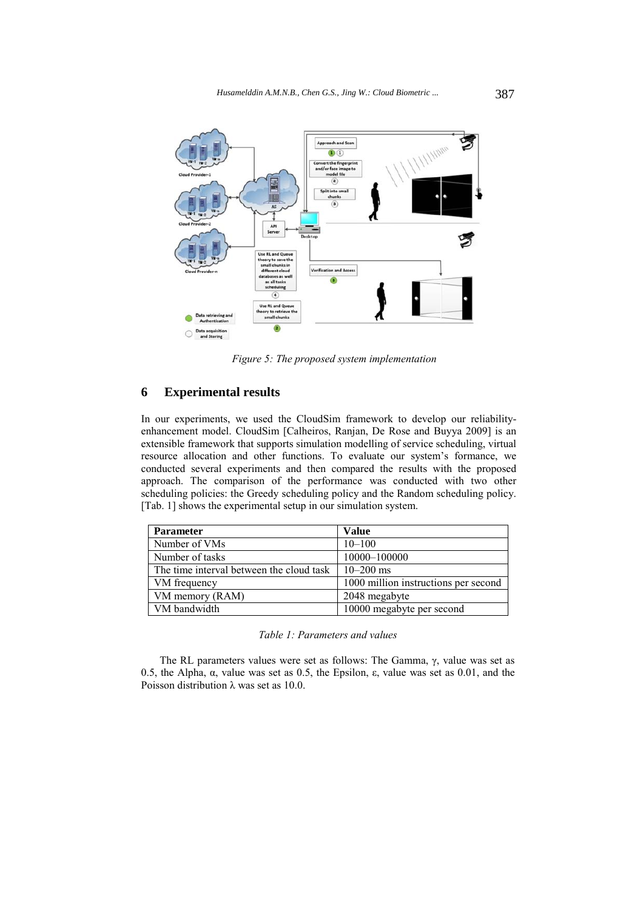

*Figure 5: The proposed system implementation* 

# **6 Experimental results**

In our experiments, we used the CloudSim framework to develop our reliabilityenhancement model. CloudSim [Calheiros, Ranjan, De Rose and Buyya 2009] is an extensible framework that supports simulation modelling of service scheduling, virtual resource allocation and other functions. To evaluate our system's formance, we conducted several experiments and then compared the results with the proposed approach. The comparison of the performance was conducted with two other scheduling policies: the Greedy scheduling policy and the Random scheduling policy. [Tab. 1] shows the experimental setup in our simulation system.

| <b>Parameter</b>                         | <b>Value</b>                         |
|------------------------------------------|--------------------------------------|
| Number of VMs                            | $10 - 100$                           |
| Number of tasks                          | 10000-100000                         |
| The time interval between the cloud task | $10 - 200$ ms                        |
| VM frequency                             | 1000 million instructions per second |
| VM memory (RAM)                          | 2048 megabyte                        |
| VM bandwidth                             | 10000 megabyte per second            |

*Table 1: Parameters and values* 

The RL parameters values were set as follows: The Gamma, γ, value was set as 0.5, the Alpha, α, value was set as 0.5, the Epsilon, ε, value was set as 0.01, and the Poisson distribution  $\lambda$  was set as 10.0.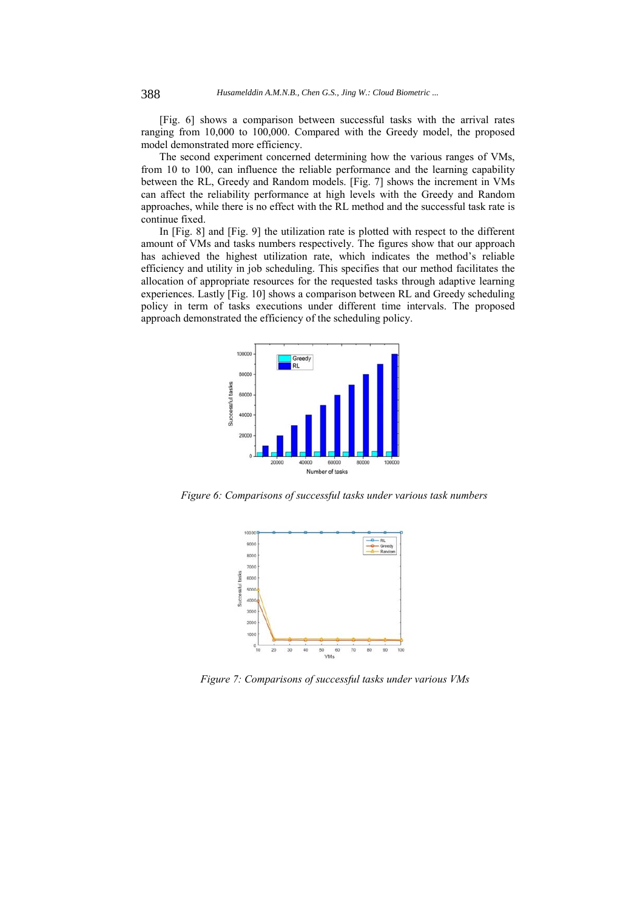[Fig. 6] shows a comparison between successful tasks with the arrival rates ranging from 10,000 to 100,000. Compared with the Greedy model, the proposed model demonstrated more efficiency.

The second experiment concerned determining how the various ranges of VMs, from 10 to 100, can influence the reliable performance and the learning capability between the RL, Greedy and Random models. [Fig. 7] shows the increment in VMs can affect the reliability performance at high levels with the Greedy and Random approaches, while there is no effect with the RL method and the successful task rate is continue fixed.

In [Fig. 8] and [Fig. 9] the utilization rate is plotted with respect to the different amount of VMs and tasks numbers respectively. The figures show that our approach has achieved the highest utilization rate, which indicates the method's reliable efficiency and utility in job scheduling. This specifies that our method facilitates the allocation of appropriate resources for the requested tasks through adaptive learning experiences. Lastly [Fig. 10] shows a comparison between RL and Greedy scheduling policy in term of tasks executions under different time intervals. The proposed approach demonstrated the efficiency of the scheduling policy.



*Figure 6: Comparisons of successful tasks under various task numbers* 



*Figure 7: Comparisons of successful tasks under various VMs*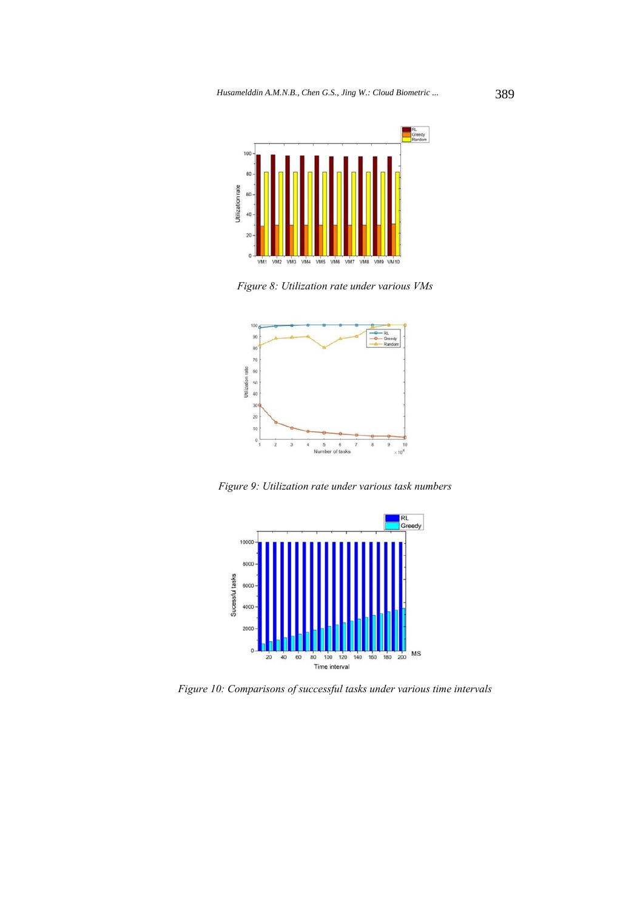

*Figure 8: Utilization rate under various VMs* 



*Figure 9: Utilization rate under various task numbers* 



*Figure 10: Comparisons of successful tasks under various time intervals*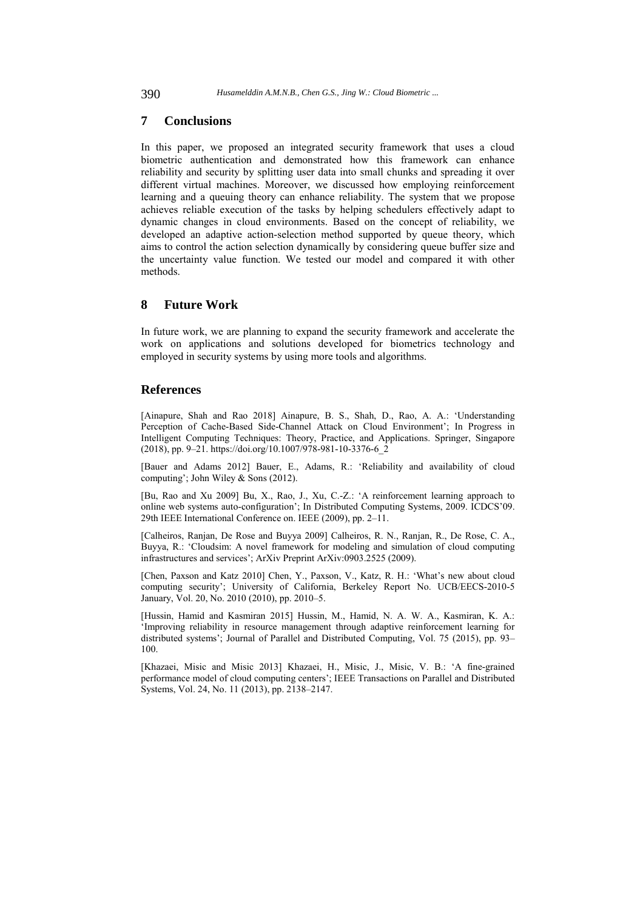### **7 Conclusions**

In this paper, we proposed an integrated security framework that uses a cloud biometric authentication and demonstrated how this framework can enhance reliability and security by splitting user data into small chunks and spreading it over different virtual machines. Moreover, we discussed how employing reinforcement learning and a queuing theory can enhance reliability. The system that we propose achieves reliable execution of the tasks by helping schedulers effectively adapt to dynamic changes in cloud environments. Based on the concept of reliability, we developed an adaptive action-selection method supported by queue theory, which aims to control the action selection dynamically by considering queue buffer size and the uncertainty value function. We tested our model and compared it with other methods.

### **8 Future Work**

In future work, we are planning to expand the security framework and accelerate the work on applications and solutions developed for biometrics technology and employed in security systems by using more tools and algorithms.

## **References**

[Ainapure, Shah and Rao 2018] Ainapure, B. S., Shah, D., Rao, A. A.: 'Understanding Perception of Cache-Based Side-Channel Attack on Cloud Environment'; In Progress in Intelligent Computing Techniques: Theory, Practice, and Applications. Springer, Singapore (2018), pp. 9–21. https://doi.org/10.1007/978-981-10-3376-6\_2

[Bauer and Adams 2012] Bauer, E., Adams, R.: 'Reliability and availability of cloud computing'; John Wiley & Sons (2012).

[Bu, Rao and Xu 2009] Bu, X., Rao, J., Xu, C.-Z.: 'A reinforcement learning approach to online web systems auto-configuration'; In Distributed Computing Systems, 2009. ICDCS'09. 29th IEEE International Conference on. IEEE (2009), pp. 2–11.

[Calheiros, Ranjan, De Rose and Buyya 2009] Calheiros, R. N., Ranjan, R., De Rose, C. A., Buyya, R.: 'Cloudsim: A novel framework for modeling and simulation of cloud computing infrastructures and services'; ArXiv Preprint ArXiv:0903.2525 (2009).

[Chen, Paxson and Katz 2010] Chen, Y., Paxson, V., Katz, R. H.: 'What's new about cloud computing security'; University of California, Berkeley Report No. UCB/EECS-2010-5 January, Vol. 20, No. 2010 (2010), pp. 2010–5.

[Hussin, Hamid and Kasmiran 2015] Hussin, M., Hamid, N. A. W. A., Kasmiran, K. A.: 'Improving reliability in resource management through adaptive reinforcement learning for distributed systems'; Journal of Parallel and Distributed Computing, Vol. 75 (2015), pp. 93– 100.

[Khazaei, Misic and Misic 2013] Khazaei, H., Misic, J., Misic, V. B.: 'A fine-grained performance model of cloud computing centers'; IEEE Transactions on Parallel and Distributed Systems, Vol. 24, No. 11 (2013), pp. 2138–2147.